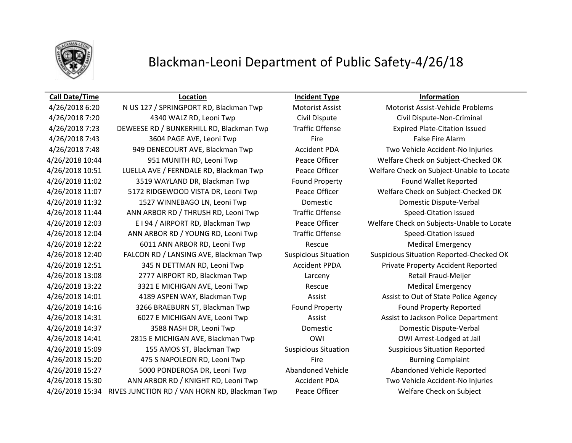

## Blackman-Leoni Department of Public Safety-4/26/18

### **Call Date/Time Location Incident Type Information**

4/26/2018 6:20 N US 127 / SPRINGPORT RD, Blackman Twp Motorist Assist Motorist Assist-Vehicle Problems 4/26/2018 7:20 4340 WALZ RD, Leoni Twp Civil Dispute Civil Dispute-Non-Criminal 4/26/2018 7:23 DEWEESE RD / BUNKERHILL RD, Blackman Twp Traffic Offense Expired Plate-Citation Issued A/26/2018 7:43 3604 PAGE AVE, Leoni Twp Fire Fire Fire False Fire Alarm 4/26/2018 7:48 949 DENECOURT AVE, Blackman Twp Accident PDA Two Vehicle Accident-No Injuries 4/26/2018 10:44 951 MUNITH RD, Leoni Twp Peace Officer Welfare Check on Subject-Checked OK 4/26/2018 10:51 LUELLA AVE / FERNDALE RD, Blackman Twp Peace Officer Welfare Check on Subject-Unable to Locate 4/26/2018 11:02 3519 WAYLAND DR, Blackman Twp Found Property Found Wallet Reported 4/26/2018 11:07 5172 RIDGEWOOD VISTA DR, Leoni Twp Peace Officer Welfare Check on Subject-Checked OK 4/26/2018 11:32 1527 WINNEBAGO LN, Leoni Twp Domestic Domestic Dispute-Verbal 4/26/2018 11:44 ANN ARBOR RD / THRUSH RD, Leoni Twp Traffic Offense Speed-Citation Issued 4/26/2018 12:03 E I 94 / AIRPORT RD, Blackman Twp Peace Officer Welfare Check on Subjects-Unable to Locate 4/26/2018 12:04 ANN ARBOR RD / YOUNG RD, Leoni Twp Traffic Offense Speed-Citation Issued A/26/2018 12:22 6011 ANN ARBOR RD, Leoni Twp Rescue Rescue Medical Emergency 4/26/2018 12:40 FALCON RD / LANSING AVE, Blackman Twp Suspicious Situation Suspicious Situation Reported-Checked OK 4/26/2018 12:51 345 N DETTMAN RD, Leoni Twp Accident PPDA Private Property Accident Reported 4/26/2018 13:08 2777 AIRPORT RD, Blackman Twp Larceny Retail Fraud-Meijer A/26/2018 13:22 3321 E MICHIGAN AVE, Leoni Twp Rescue Rescue Medical Emergency 4/26/2018 14:01 4189 ASPEN WAY, Blackman Twp Assist Assist Assist to Out of State Police Agency 4/26/2018 14:16 3266 BRAEBURN ST, Blackman Twp Found Property Found Property Reported 4/26/2018 14:31 6027 E MICHIGAN AVE, Leoni Twp Assist Assist to Jackson Police Department 4/26/2018 14:37 3588 NASH DR, Leoni Twp Domestic Domestic Dispute-Verbal 4/26/2018 14:41 2815 E MICHIGAN AVE, Blackman Twp OWI OWI Arrest-Lodged at Jail 4/26/2018 15:09 155 AMOS ST, Blackman Twp Suspicious Situation Suspicious Situation Reported 4/26/2018 15:20 475 S NAPOLEON RD, Leoni Twp Fire Burning Complaint 4/26/2018 15:27 5000 PONDEROSA DR, Leoni Twp Abandoned Vehicle Abandoned Vehicle Reported 4/26/2018 15:30 ANN ARBOR RD / KNIGHT RD, Leoni Twp Accident PDA Two Vehicle Accident-No Injuries 4/26/2018 15:34 RIVES JUNCTION RD / VAN HORN RD, Blackman Twp Peace Officer Welfare Check on Subject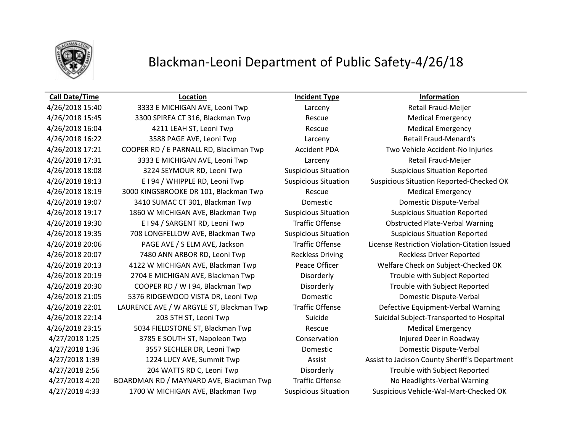

## Blackman-Leoni Department of Public Safety-4/26/18

### **Call Date/Time Location Incident Type Information**

4/26/2018 15:40 3333 E MICHIGAN AVE, Leoni Twp Larceny Retail Fraud-Meijer 4/26/2018 15:45 3300 SPIREA CT 316, Blackman Twp Rescue Medical Emergency A/26/2018 16:04 **4211 LEAH ST, Leoni Twp** Rescue Rescue Medical Emergency 4/26/2018 16:22 3588 PAGE AVE, Leoni Twp Larceny Retail Fraud-Menard's 4/26/2018 17:21 COOPER RD / E PARNALL RD, Blackman Twp Accident PDA Two Vehicle Accident-No Injuries 4/26/2018 17:31 3333 E MICHIGAN AVE, Leoni Twp Larceny Retail Fraud-Meijer 4/26/2018 18:08 3224 SEYMOUR RD, Leoni Twp Suspicious Situation Suspicious Situation Reported 4/26/2018 18:19 3000 KINGSBROOKE DR 101, Blackman Twp Rescue Rescue Medical Emergency 4/26/2018 19:07 3410 SUMAC CT 301, Blackman Twp Domestic Domestic Dispute-Verbal 4/26/2018 19:17 1860 W MICHIGAN AVE, Blackman Twp Suspicious Situation Suspicious Situation Reported 4/26/2018 19:30 E I 94 / SARGENT RD, Leoni Twp Traffic Offense Obstructed Plate-Verbal Warning 4/26/2018 19:35 708 LONGFELLOW AVE, Blackman Twp Suspicious Situation Suspicious Situation Reported 4/26/2018 20:07 7480 ANN ARBOR RD, Leoni Twp Reckless Driving Reckless Driver Reported 4/26/2018 20:13 4122 W MICHIGAN AVE, Blackman Twp Peace Officer Welfare Check on Subject-Checked OK 4/26/2018 20:19 2704 E MICHIGAN AVE, Blackman Twp Disorderly Trouble with Subject Reported 4/26/2018 20:30 COOPER RD / W I 94, Blackman Twp Disorderly Trouble with Subject Reported 4/26/2018 21:05 5376 RIDGEWOOD VISTA DR, Leoni Twp Domestic Domestic Dispute-Verbal 4/26/2018 22:01 LAURENCE AVE / W ARGYLE ST, Blackman Twp Traffic Offense Defective Equipment-Verbal Warning 4/26/2018 22:14 203 5TH ST, Leoni Twp Suicide Suicide Subject-Transported to Hospital A/26/2018 23:15 5034 FIELDSTONE ST, Blackman Twp Rescue Rescue Medical Emergency 4/27/2018 1:25 3785 E SOUTH ST, Napoleon Twp Conservation Injured Deer in Roadway 4/27/2018 1:36 3557 SECHLER DR, Leoni Twp Domestic Domestic Dispute-Verbal 4/27/2018 2:56 204 WATTS RD C, Leoni Twp Disorderly Trouble with Subject Reported 4/27/2018 4:20 BOARDMAN RD / MAYNARD AVE, Blackman Twp Traffic Offense No Headlights-Verbal Warning 4/27/2018 4:33 1700 W MICHIGAN AVE, Blackman Twp Suspicious Situation Suspicious Vehicle-Wal-Mart-Checked OK

4/26/2018 18:13 E I 94 / WHIPPLE RD, Leoni Twp Suspicious Situation Suspicious Situation Reported-Checked OK 4/26/2018 20:06 PAGE AVE / S ELM AVE, Jackson Traffic Offense License Restriction Violation-Citation Issued 4/27/2018 1:39 1224 LUCY AVE, Summit Twp Assist Assist Assist to Jackson County Sheriff's Department